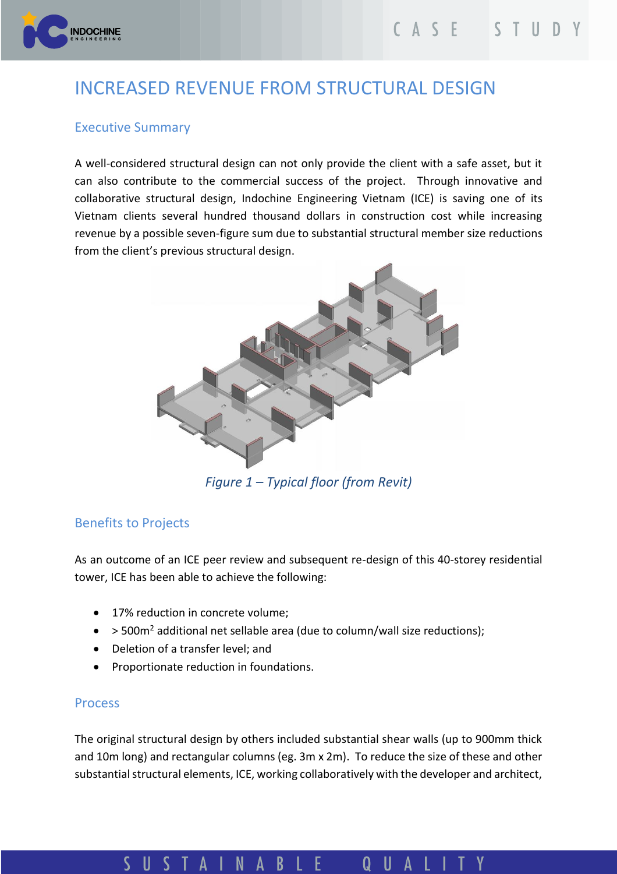

# INCREASED REVENUE FROM STRUCTURAL DESIGN

### Executive Summary

A well-considered structural design can not only provide the client with a safe asset, but it can also contribute to the commercial success of the project. Through innovative and collaborative structural design, Indochine Engineering Vietnam (ICE) is saving one of its Vietnam clients several hundred thousand dollars in construction cost while increasing revenue by a possible seven-figure sum due to substantial structural member size reductions from the client's previous structural design.



*Figure 1 – Typical floor (from Revit)*

#### Benefits to Projects

As an outcome of an ICE peer review and subsequent re-design of this 40-storey residential tower, ICE has been able to achieve the following:

- 17% reduction in concrete volume;
- $\bullet$  > 500m<sup>2</sup> additional net sellable area (due to column/wall size reductions);
- Deletion of a transfer level; and
- Proportionate reduction in foundations.

#### Process

S

U

The original structural design by others included substantial shear walls (up to 900mm thick and 10m long) and rectangular columns (eg. 3m x 2m). To reduce the size of these and other substantial structural elements, ICE, working collaboratively with the developer and architect,

UALI

 $\mathbf 0$ 

TAINABLE